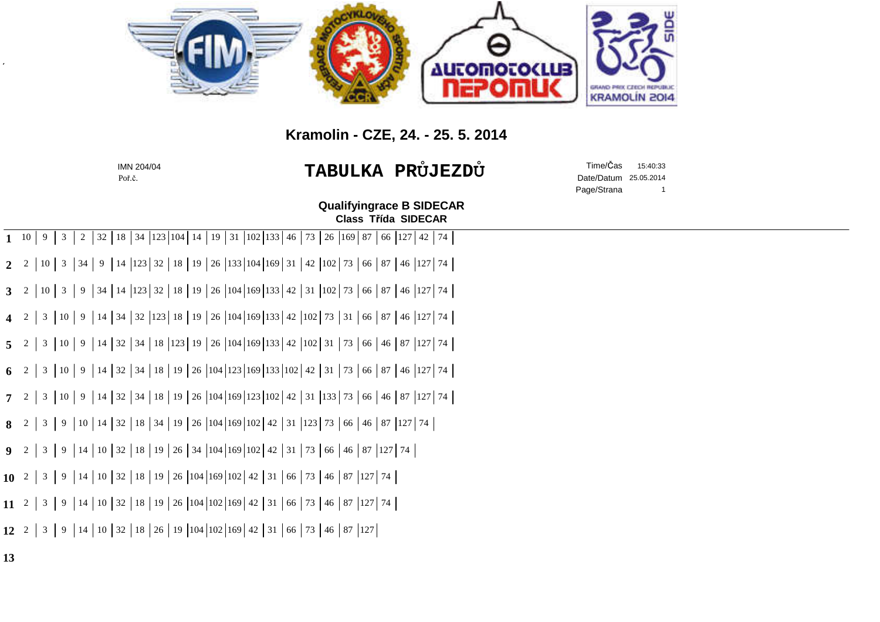

## **Kramolin - CZE, 24. - 25. 5. 2014**

| IMN 204/04<br>Poř.č. | TABULKA PRŮJEZDŮ | Date/Datum 25.05.2014<br>Page/Strana | Time/Čas 15:40:33 |  |
|----------------------|------------------|--------------------------------------|-------------------|--|
|                      |                  |                                      |                   |  |

Poř.č.

**Class T**ř**ída SIDECARQualifyingrace B SIDECAR**

|                | 1 10   9   3   2   32   18   34   123   104   14   19   31   102   133   46   73   26   169   87   66   127   42   74        |
|----------------|------------------------------------------------------------------------------------------------------------------------------|
| $\overline{2}$ | 2   10   3   34   9   14   123   32   18   19   26   133   104   169   31   42   102   73   66   87   46   127   74          |
|                | 3 2   10   3   9   34   14   123   32   18   19   26   104   169   133   42   31   102   73   66   87   46   127   74        |
|                | 4 2 3 10 9 14 34 32 123 18 19 26 104 169 133 42 102 73 31 66 87 46 127 74                                                    |
|                | 5 2 3 10 9 14 32 34 18 123 19 26 104 169 133 42 102 31 73 66 46 87 127 74                                                    |
|                | 6 2 3 10 9 14 32 34 18 19 26 104 123 169 133 102 42 31 73 66 87 46 127 74                                                    |
|                | <b>7</b> 2   3   10   9   14   32   34   18   19   26   104   169   123   102   42   31   133   73   66   46   87   127   74 |
|                | <b>8</b> 2   3   9   10   14   32   18   34   19   26   104   169   102   42   31   123   73   66   46   87   127   74       |
|                | <b>9</b> 2   3   9   14   10   32   18   19   26   34   104   169   102   42   31   73   66   46   87   127   74             |
|                | <b>10</b> 2   3   9   14   10   32   18   19   26   104   169   102   42   31   66   73   46   87   127   74                 |
|                | 11 2 3 9 44 0 32 18 19 26 104 102 169 42 31 66 73 46 87 127 74                                                               |
|                | <b>12</b> 2 3 9 44 0 32 18 26 19 104 102 169 42 31 66 73 46 87 127                                                           |